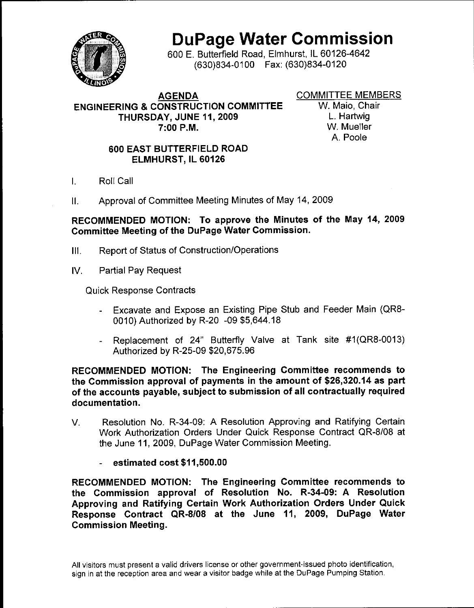

# **DuPage Water Commission**

600 F. Butterfield Road, Elmhurst, IL 60126-4642 (630)834-0100 Fax: (630)834-0120

#### **AGENDA ENGINEERING & CONSTRUCTION COMMITTEE** THURSDAY, JUNE 11, 2009  $7:00$  P.M.

**COMMITTEE MEMBERS** 

W. Maio, Chair L. Hartwig W. Mueller A Poole

#### **600 EAST BUTTERFIELD ROAD** ELMHURST, IL 60126

- Roll Call  $\mathbf{L}$
- Approval of Committee Meeting Minutes of May 14, 2009  $\mathbf{H}$

RECOMMENDED MOTION: To approve the Minutes of the May 14, 2009 Committee Meeting of the DuPage Water Commission.

- Report of Status of Construction/Operations  $III.$
- $W_{\cdot}$ **Partial Pay Request**

**Quick Response Contracts** 

- Excavate and Expose an Existing Pipe Stub and Feeder Main (QR8-0010) Authorized by R-20 -09 \$5.644.18
- Replacement of 24" Butterfly Valve at Tank site #1(QR8-0013) Authorized by R-25-09 \$20,675.96

RECOMMENDED MOTION: The Engineering Committee recommends to the Commission approval of payments in the amount of \$26,320.14 as part of the accounts payable, subject to submission of all contractually required documentation.

- Resolution No. R-34-09: A Resolution Approving and Ratifying Certain V. Work Authorization Orders Under Quick Response Contract QR-8/08 at the June 11, 2009, DuPage Water Commission Meeting.
	- estimated cost \$11,500.00

RECOMMENDED MOTION: The Engineering Committee recommends to the Commission approval of Resolution No. R-34-09: A Resolution Approving and Ratifying Certain Work Authorization Orders Under Quick Response Contract QR-8/08 at the June 11, 2009, DuPage Water **Commission Meeting.** 

All visitors must present a valid drivers license or other government-issued photo identification, sign in at the reception area and wear a visitor badge while at the DuPage Pumping Station.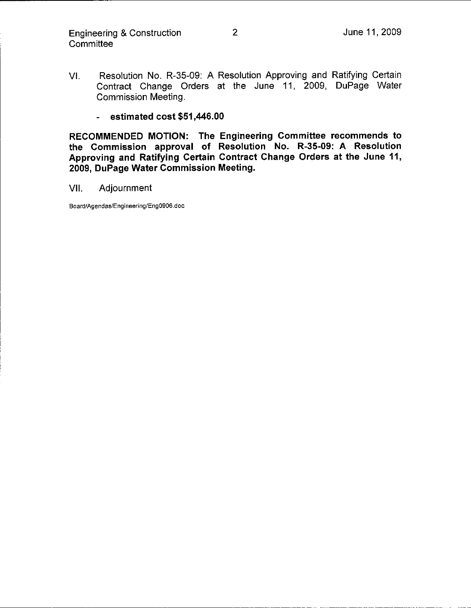- Resolution No. R-35-09: A Resolution Approving and Ratifying Certain VI. Contract Change Orders at the June 11, 2009, DuPage Water **Commission Meeting.** 
	- estimated  $cost$  \$51,446.00

RECOMMENDED MOTION: The Engineering Committee recommends to the Commission approval of Resolution No. R-35-09: A Resolution Approving and Ratifying Certain Contract Change Orders at the June 11, 2009, DuPage Water Commission Meeting.

Adjournment VII.

Board/Agendas/Engineering/Eng0906.doc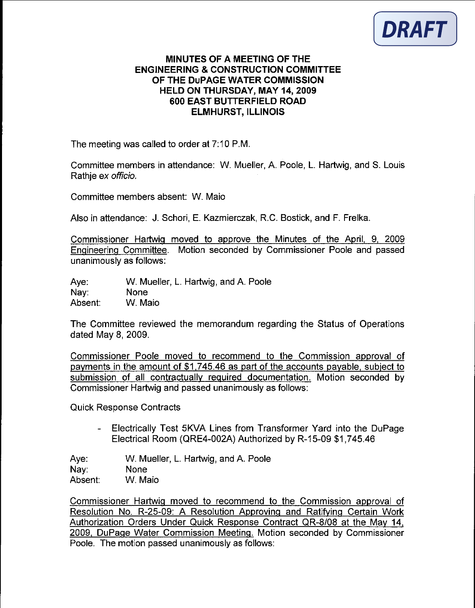

#### MINUTES OF A MEETING OF THE **ENGINEERING & CONSTRUCTION COMMITTEE** OF THE DUPAGE WATER COMMISSION **HELD ON THURSDAY, MAY 14, 2009** 600 EAST BUTTERFIELD ROAD **ELMHURST, ILLINOIS**

The meeting was called to order at 7:10 P.M.

Committee members in attendance: W. Mueller, A. Poole, L. Hartwig, and S. Louis Rathie ex officio.

Committee members absent: W. Maio

Also in attendance: J. Schori, E. Kazmierczak, R.C. Bostick, and F. Frelka.

Commissioner Hartwig moved to approve the Minutes of the April, 9, 2009 Engineering Committee. Motion seconded by Commissioner Poole and passed unanimously as follows:

 $Ave:$ W. Mueller, L. Hartwig, and A. Poole Nav: None W. Maio Absent:

The Committee reviewed the memorandum regarding the Status of Operations dated May 8, 2009.

Commissioner Poole moved to recommend to the Commission approval of payments in the amount of \$1,745.46 as part of the accounts payable, subject to submission of all contractually required documentation. Motion seconded by Commissioner Hartwig and passed unanimously as follows:

**Quick Response Contracts** 

Electrically Test 5KVA Lines from Transformer Yard into the DuPage Electrical Room (QRE4-002A) Authorized by R-15-09 \$1,745.46

Ave: W. Mueller, L. Hartwig, and A. Poole Nav: **None** W. Maio Absent:

Commissioner Hartwig moved to recommend to the Commission approval of Resolution No. R-25-09: A Resolution Approving and Ratifying Certain Work Authorization Orders Under Quick Response Contract QR-8/08 at the May 14, 2009. DuPage Water Commission Meeting. Motion seconded by Commissioner Poole. The motion passed unanimously as follows: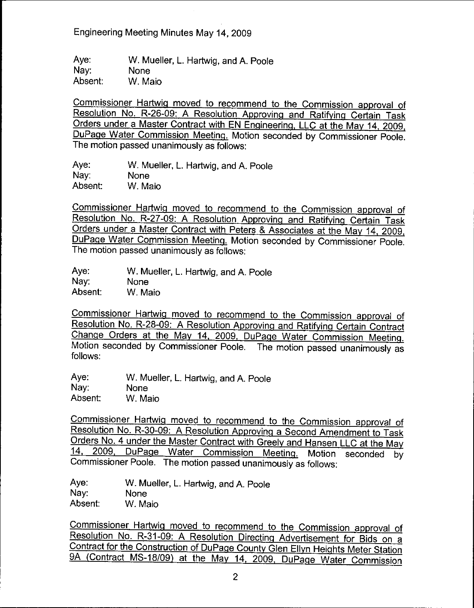Engineering Meeting Minutes May 14, 2009

Aye: W. Mueller, L. Hartwig, and A. Poole Nay: **None** Absent: W. Maio

Commissioner Hartwig moved to recommend to the Commission approval of Resolution No. R-26-09: A Resolution Approving and Ratifying Certain Task Orders under a Master Contract with EN Engineering, LLC at the May 14, 2009. DuPage Water Commission Meeting. Motion seconded by Commissioner Poole. The motion passed unanimously as follows:

Ave: W. Mueller, L. Hartwig, and A. Poole Nay. None Absent: W. Maio

Commissioner Hartwig moved to recommend to the Commission approval of Resolution No. R-27-09: A Resolution Approving and Ratifying Certain Task Orders under a Master Contract with Peters & Associates at the May 14, 2009, DuPage Water Commission Meeting. Motion seconded by Commissioner Poole. The motion passed unanimously as follows:

| Aye:    | W. Mueller, L. Hartwig, and A. Poole |
|---------|--------------------------------------|
| Nay:    | <b>None</b>                          |
| Absent: | W. Maio                              |

Commissioner Hartwig moved to recommend to the Commission approval of Resolution No. R-28-09: A Resolution Approving and Ratifying Certain Contract Change Orders at the May 14, 2009, DuPage Water Commission Meeting. Motion seconded by Commissioner Poole. The motion passed unanimously as follows:

Ave: W. Mueller, L. Hartwig, and A. Poole Nay: **None** Absent: W. Maio

Commissioner Hartwig moved to recommend to the Commission approval of Resolution No. R-30-09: A Resolution Approving a Second Amendment to Task Orders No. 4 under the Master Contract with Greely and Hansen LLC at the May 14, 2009, DuPage Water Commission Meeting. Motion seconded by Commissioner Poole. The motion passed unanimously as follows:

Ave: W. Mueller, L. Hartwig, and A. Poole Nav: **None** Absent: W. Maio

Commissioner Hartwig moved to recommend to the Commission approval of Resolution No. R-31-09: A Resolution Directing Advertisement for Bids on a Contract for the Construction of DuPage County Glen Ellyn Heights Meter Station 9A (Contract MS-18/09) at the May 14, 2009, DuPage Water Commission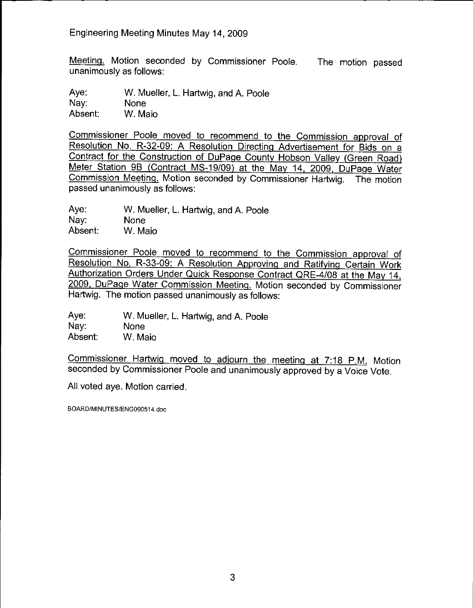Meeting. Motion seconded by Commissioner Poole. The motion passed unanimously as follows:

Ave: W. Mueller, L. Hartwig, and A. Poole Nav: **None** Absent: W. Maio

Commissioner Poole moved to recommend to the Commission approval of Resolution No. R-32-09: A Resolution Directing Advertisement for Bids on a Contract for the Construction of DuPage County Hobson Valley (Green Road) Meter Station 9B (Contract MS-19/09) at the May 14, 2009, DuPage Water Commission Meeting. Motion seconded by Commissioner Hartwig. The motion passed unanimously as follows:

Ave: W. Mueller, L. Hartwig, and A. Poole Nay: **None** Absent: W. Maio

Commissioner Poole moved to recommend to the Commission approval of Resolution No. R-33-09: A Resolution Approving and Ratifying Certain Work Authorization Orders Under Quick Response Contract QRE-4/08 at the May 14, 2009, DuPage Water Commission Meeting. Motion seconded by Commissioner Hartwig. The motion passed unanimously as follows:

Ave: W. Mueller, L. Hartwig, and A. Poole Nav: **None** Absent: W. Maio

Commissioner Hartwig moved to adjourn the meeting at 7:18 P.M. Motion seconded by Commissioner Poole and unanimously approved by a Voice Vote.

All voted aye. Motion carried.

BOARD/MINUTES/ENG090514.doc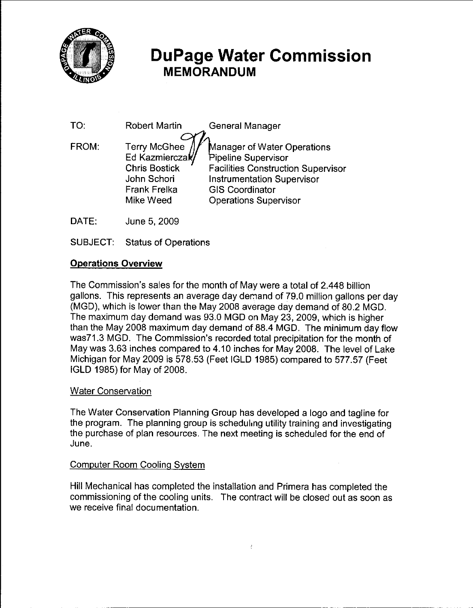

## **DuPage Water Commission MEMORANDUM**

| TO:   | <b>Robert Martin</b>                                                                                          | General Manager                                                                                                                                                                                |
|-------|---------------------------------------------------------------------------------------------------------------|------------------------------------------------------------------------------------------------------------------------------------------------------------------------------------------------|
| FROM: | Terry McGhee //<br>Ed Kazmierczak/<br><b>Chris Bostick</b><br>John Schori<br><b>Frank Frelka</b><br>Mike Weed | Manager of Water Operations<br>Pipeline Supervisor<br><b>Facilities Construction Supervisor</b><br><b>Instrumentation Supervisor</b><br><b>GIS Coordinator</b><br><b>Operations Supervisor</b> |
|       |                                                                                                               |                                                                                                                                                                                                |

- DATE: June 5, 2009
- **SUBJECT:** Status of Operations

## **Operations Overview**

The Commission's sales for the month of May were a total of 2.448 billion gallons. This represents an average day demand of 79.0 million gallons per day (MGD), which is lower than the May 2008 average day demand of 80.2 MGD. The maximum day demand was 93.0 MGD on May 23, 2009, which is higher than the May 2008 maximum day demand of 88.4 MGD. The minimum day flow was71.3 MGD. The Commission's recorded total precipitation for the month of May was 3.63 inches compared to 4.10 inches for May 2008. The level of Lake Michigan for May 2009 is 578.53 (Feet IGLD 1985) compared to 577.57 (Feet IGLD 1985) for May of 2008.

#### **Water Conservation**

The Water Conservation Planning Group has developed a logo and tagline for the program. The planning group is scheduling utility training and investigating the purchase of plan resources. The next meeting is scheduled for the end of June.

#### **Computer Room Cooling System**

Hill Mechanical has completed the installation and Primera has completed the commissioning of the cooling units. The contract will be closed out as soon as we receive final documentation.

 $\bar{\bar{z}}$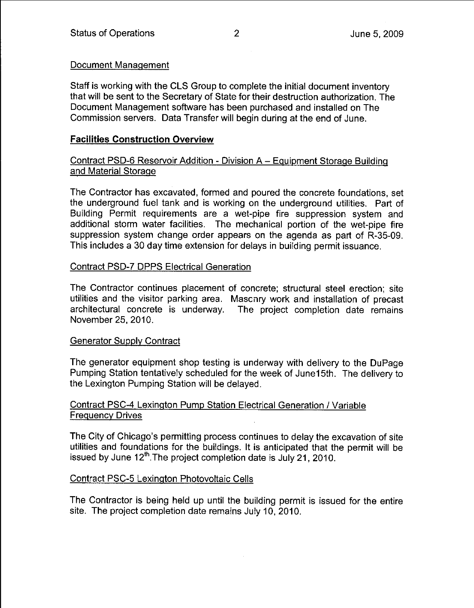#### Document Management

Staff is working with the CLS Group to complete the initial document inventory that will be sent to the Secretary of State for their destruction authorization. The Document Management software has been purchased and installed on The Commission servers. Data Transfer will begin during at the end of June.

## **Facilities Construction Overview**

## Contract PSD-6 Reservoir Addition - Division A - Equipment Storage Building and Material Storage

The Contractor has excavated, formed and poured the concrete foundations, set the underground fuel tank and is working on the underground utilities. Part of Building Permit requirements are a wet-pipe fire suppression system and additional storm water facilities. The mechanical portion of the wet-pipe fire suppression system change order appears on the agenda as part of R-35-09. This includes a 30 day time extension for delays in building permit issuance.

#### **Contract PSD-7 DPPS Electrical Generation**

The Contractor continues placement of concrete; structural steel erection; site utilities and the visitor parking area. Maschry work and installation of precast architectural concrete is underway. The project completion date remains November 25, 2010.

#### **Generator Supply Contract**

The generator equipment shop testing is underway with delivery to the DuPage Pumping Station tentatively scheduled for the week of June15th. The delivery to the Lexington Pumping Station will be delayed.

## Contract PSC-4 Lexington Pump Station Electrical Generation / Variable **Frequency Drives**

The City of Chicago's permitting process continues to delay the excavation of site utilities and foundations for the buildings. It is anticipated that the permit will be issued by June 12<sup>th</sup>. The project completion date is July 21, 2010.

#### Contract PSC-5 Lexington Photovoltaic Cells

The Contractor is being held up until the building permit is issued for the entire site. The project completion date remains July 10, 2010.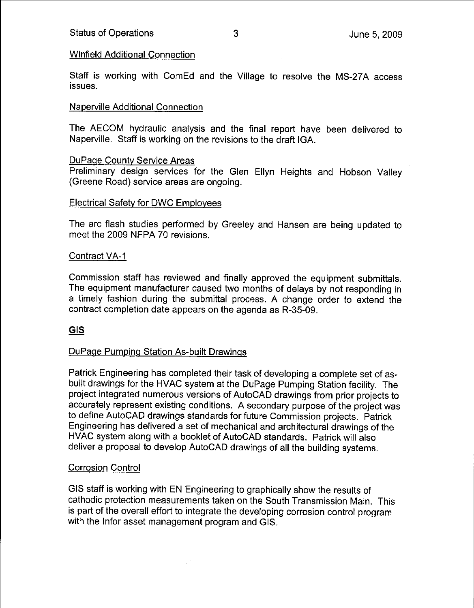#### **Winfield Additional Connection**

Staff is working with ComEd and the Village to resolve the MS-27A access issues.

#### **Naperville Additional Connection**

The AECOM hydraulic analysis and the final report have been delivered to Naperville. Staff is working on the revisions to the draft IGA.

#### **DuPage County Service Areas**

Preliminary design services for the Glen Ellyn Heights and Hobson Valley (Greene Road) service areas are ongoing.

#### **Electrical Safety for DWC Employees**

The arc flash studies performed by Greeley and Hansen are being updated to meet the 2009 NFPA 70 revisions.

#### Contract VA-1

Commission staff has reviewed and finally approved the equipment submittals. The equipment manufacturer caused two months of delays by not responding in a timely fashion during the submittal process. A change order to extend the contract completion date appears on the agenda as R-35-09.

#### **GIS**

#### DuPage Pumping Station As-built Drawings

Patrick Engineering has completed their task of developing a complete set of asbuilt drawings for the HVAC system at the DuPage Pumping Station facility. The project integrated numerous versions of AutoCAD drawings from prior projects to accurately represent existing conditions. A secondary purpose of the project was to define AutoCAD drawings standards for future Commission projects. Patrick Engineering has delivered a set of mechanical and architectural drawings of the HVAC system along with a booklet of AutoCAD standards. Patrick will also deliver a proposal to develop AutoCAD drawings of all the building systems.

#### **Corrosion Control**

GIS staff is working with EN Engineering to graphically show the results of cathodic protection measurements taken on the South Transmission Main. This is part of the overall effort to integrate the developing corrosion control program with the Infor asset management program and GIS.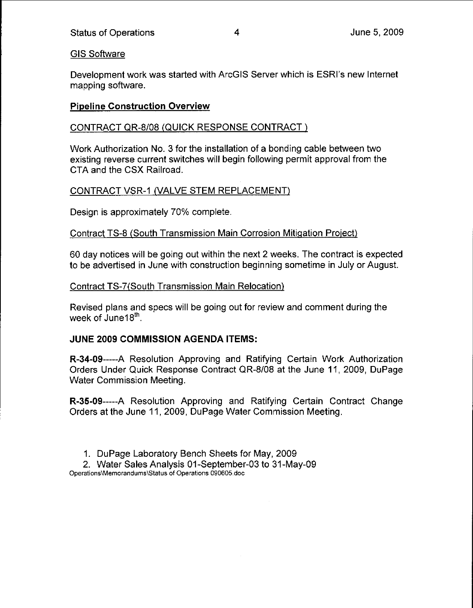## **GIS Software**

Development work was started with ArcGIS Server which is ESRI's new Internet mapping software.

## **Pipeline Construction Overview**

## CONTRACT QR-8/08 (QUICK RESPONSE CONTRACT)

Work Authorization No. 3 for the installation of a bonding cable between two existing reverse current switches will begin following permit approval from the CTA and the CSX Railroad.

## CONTRACT VSR-1 (VALVE STEM REPLACEMENT)

Design is approximately 70% complete.

#### Contract TS-8 (South Transmission Main Corrosion Mitigation Project)

60 day notices will be going out within the next 2 weeks. The contract is expected to be advertised in June with construction beginning sometime in July or August.

#### Contract TS-7(South Transmission Main Relocation)

Revised plans and specs will be going out for review and comment during the week of June18<sup>th</sup>.

#### JUNE 2009 COMMISSION AGENDA ITEMS:

R-34-09—---A Resolution Approving and Ratifying Certain Work Authorization Orders Under Quick Response Contract QR-8/08 at the June 11, 2009, DuPage **Water Commission Meeting.** 

R-35-09-----A Resolution Approving and Ratifying Certain Contract Change Orders at the June 11, 2009, DuPage Water Commission Meeting.

1. DuPage Laboratory Bench Sheets for May, 2009

2. Water Sales Analysis 01-September-03 to 31-May-09 Operations\Memorandums\Status of Operations 090605.doc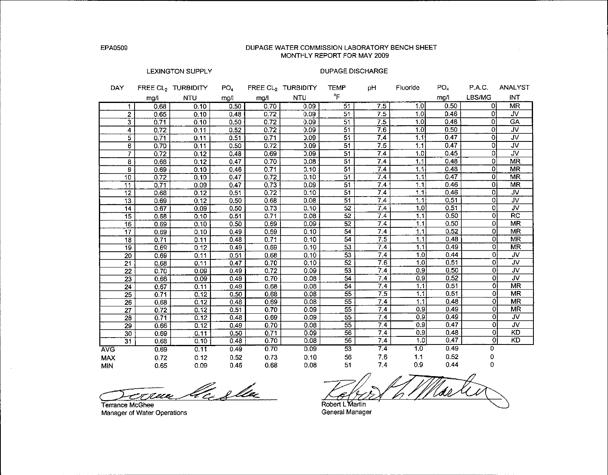EPA0509

#### DUPAGE WATER COMMISSION LABORATORY BENCH SHEET MONTHLY REPORT FOR MAY 2009

#### **LEXINGTON SUPPLY**

#### **DUPAGE DISCHARGE**

| DAY        |                         | FREE CL <sub>2</sub> TURBIDITY | PO <sub>4</sub> |      | FREE CL <sub>2</sub> TURBIDITY | TEMP            | рH               | Fluoride | PO <sub>4</sub> | P.A.C.         | ANALYST                 |
|------------|-------------------------|--------------------------------|-----------------|------|--------------------------------|-----------------|------------------|----------|-----------------|----------------|-------------------------|
|            | mg/l                    | <b>NTU</b>                     | mg/l            | mg/l | <b>NTU</b>                     | °F              |                  |          | mg/l            | LBS/MG         | INT                     |
|            | 0.68                    | 0.10                           | 0.50            | 0.70 | 0.09                           | $\overline{51}$ | 7.5              | 1.0      | 0.50            | ΟI             | <b>MR</b>               |
|            | 2<br>0.65               | 0.10                           | 0.48            | 0.72 | 0.09                           | 51              | 7.5              | 1.0      | 0.46            | 0              | JV.                     |
|            | 3<br>0.71               | 0.10                           | 0.50            | 0.72 | 0.09                           | 51              | 7.5              | 1.0      | 0.48            | 0              | <b>GA</b>               |
|            | 4<br>0.72               | 0.11                           | 0.52            | 0.72 | 0.09                           | 51              | 7.6              | 1.0      | 0.50            | 0              | <b>JV</b>               |
|            | 5<br>0.71               | 0.11                           | 0.51            | 0.71 | 0.09                           | 51              | 7.4              | 1.1      | 0.47            | ٥              | <b>JV</b>               |
|            | 6<br>0.70               | 0.11                           | 0.50            | 0.72 | 0.09                           | 51              | 7.5              | 1.1      | 0.47            | 0              | $\overline{\mathsf{v}}$ |
|            | 7<br>0.72               | 0.12                           | 0.48            | 0.69 | 0.09                           | 51              | 7.4              | 1.0      | 0.45            | 0              | JV.                     |
|            | 8<br>0.68               | 0.12                           | 0.47            | 0.70 | 0.08                           | 51              | $\overline{7.4}$ | 1.1      | 0.48            | 0              | <b>MR</b>               |
|            | 9<br>0.69               | 0.10                           | 0.46            | 0.71 | 0.10                           | 51              | 7.4              | 1.1      | 0.48            | 0              | MR                      |
|            | 10<br>0.72              | 0.10                           | 0.47            | 0.72 | 0.10                           | 51              | 7.4              | 1.1      | 0.47            | 0              | <b>MR</b>               |
|            | 11<br>0.71              | 0.09                           | 0.47            | 0.73 | 0.09                           | 51              | 7.4              | 1.1      | 0.46            | 0              | MR                      |
|            | 12<br>0.68              | 0.12                           | 0.51            | 0.72 | 0.10                           | 51              | 7.4              | 1.1      | 0.46            | $\Omega$       | <b>JV</b>               |
|            | 13<br>0.69              | 0.12                           | 0.50            | 0.68 | 0.08                           | 51              | 7.4              | 1.1      | 0.51            | 0              | $\overline{\mathsf{v}}$ |
|            | 14<br>0.67              | 0.09                           | 0.50            | 0.73 | 0.10                           | $\overline{52}$ | 7.4              | 1.0      | 0.51            | 0              | JV                      |
|            | $\overline{15}$<br>0.68 | 0.10                           | 0.51            | 0.71 | 0.08                           | 52              | 7.4              | 1.1      | 0.50            | $\overline{0}$ | $\overline{RC}$         |
|            | 16<br>0.69              | 0.10                           | 0.50            | 0.69 | 0.09                           | 52              | 7.4              | 1.1      | 0.50            | $\Omega$       | <b>MR</b>               |
|            | 17<br>0.69              | 0.10                           | 0.49            | 0.69 | 0.10                           | 54              | 7.4              | 1.1      | 0.52            | O              | <b>MR</b>               |
|            | 18<br>0.71              | 0.11                           | 0.48            | 0.71 | 0.10                           | 54              | 7.5              | 1.1      | 0.48            | Οİ             | MR                      |
|            | 19<br>0.69              | 0.12                           | 0.49            | 0.69 | 0.10                           | $\overline{53}$ | 7.4              | 1.1      | 0.49            | 0              | <b>MR</b>               |
|            | $\overline{20}$<br>0.69 | 0.11                           | 0.51            | 0.68 | 0.10                           | $\overline{53}$ | 7.4              | 1.0      | 0.44            | 0              | JV                      |
|            | 21<br>0.68              | 0.11                           | 0.47            | 0.70 | 0.10                           | 52              | 7.6              | 1.0      | 0.51            | $\overline{0}$ | $\overline{\mathsf{w}}$ |
|            | 22<br>0.70              | 0.09                           | 0.49            | 0.72 | 0.09                           | 53              | 74               | 0.9      | 0.50            | 0              | <b>JV</b>               |
|            | $\overline{23}$<br>0.66 | 0.09                           | 0.49            | 0.70 | 0.08                           | 54              | 7.4              | 0.9      | 0.52            | 0              | <b>JV</b>               |
|            | 24<br>0.67              | 0.11                           | 0.49            | 0.68 | 0.08                           | 54              | 7.4              | 1.1      | 0.51            | ٥l             | <b>MR</b>               |
|            | 25<br>0.71              | 0.12                           | 0.50            | 0.68 | 0.08                           | 55              | 7.5              | 1.1      | 0.51            | 0              | <b>MR</b>               |
|            | $\overline{26}$<br>0.68 | 0.12                           | 0.48            | 0.69 | 0.08                           | 55              | 7.4              | 1.1      | 0.48            | 0              | <b>MR</b>               |
|            | $\overline{27}$<br>0.72 | 0.12                           | 0.51            | 0.70 | 0.09                           | 55              | 7.4              | 0.9      | 0.49            | 0              | <b>MR</b>               |
|            | 28<br>0.71              | 0.12                           | 0.48            | 0.69 | 0.09                           | $\overline{55}$ | 7.4              | 0.9      | 0.49            | Ō              | <b>JV</b>               |
|            | 29<br>0.66              | 0.12                           | 0.49            | 0.70 | 0.08                           | 55              | 74               | 0.9      | 0.47            | $\Omega$       | $\overline{\mathsf{w}}$ |
|            | 30<br>0.69              | 0.11                           | 0.50            | 0.71 | 0.09                           | 56              | 74               | 0.9      | 0.48            | $\overline{0}$ | KD                      |
|            | 31<br>0.68              | 0.10                           | 0.48            | 0.70 | 0.08                           | 56              | 7.4              | 1.0      | 0.47            | $\overline{0}$ | $\overline{KD}$         |
| <b>AVG</b> | 0.69                    | 0.11                           | 0.49            | 0.70 | 0.09                           | $\overline{53}$ | 7.4              | 1.0      | 0.49            | 0              |                         |
| <b>MAX</b> | 0.72                    | 0.12                           | 0.52            | 0.73 | 0.10                           | 56              | 7.6              | 1.1      | 0.52            | 0              |                         |
| <b>MIN</b> | 0.65                    | 0.09                           | 0.46            | 0.68 | 0.08                           | 51              | 7.4              | 0.9      | 0.44            | 0              |                         |

la sla

Terrance McGhee Manager of Water Operations

Robert L Martin

General Manager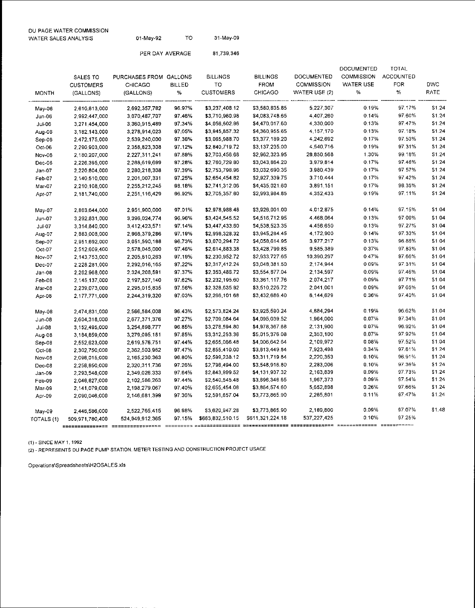| DU PAGE WATER COMMISSION<br>WATER SALES ANALYSIS | 01-Mav-92       | тο | 31-May-09  |
|--------------------------------------------------|-----------------|----|------------|
|                                                  | PER DAY AVERAGE |    | 81.739.346 |

|               | SALES TO           | PURCHASES FROM GALLONS |               | <b>BILLINGS</b>  | <b>BILLINGS</b>                                 | <b>DOCUMENTED</b> | <b>DOCUMENTED</b><br><b>COMMISSION</b> | <b>TOTAL</b><br><b>ACCOUNTED</b> |            |
|---------------|--------------------|------------------------|---------------|------------------|-------------------------------------------------|-------------------|----------------------------------------|----------------------------------|------------|
|               | <b>CUSTOMERS</b>   | <b>CHICAGO</b>         | <b>BILLED</b> | TO               | <b>FROM</b>                                     | <b>COMMISSION</b> | <b>WATER USE</b>                       | <b>FOR</b>                       | <b>DWC</b> |
|               |                    | (GALLONS)              | $\%$          | <b>CUSTOMERS</b> | CHICAGO                                         | WATER USE (2)     | $\%$                                   | $\%$                             | RATE       |
| <b>MONTH</b>  | (GALLONS)          |                        |               |                  |                                                 |                   |                                        |                                  |            |
| May-06        | 2.610,813.000      | 2,692,357,782          | 96.97%        | \$3,237,408.12   | \$3,580,835.85                                  | 5,227,307         | 0.19%                                  | 97.17%                           | \$1.24     |
| Jun-06        | 2,992,447,000      | 3,070,487,707          | 97.46%        | \$3,710,960.98   | \$4,083,748.65                                  | 4.407.260         | 0.14%                                  | 97.60%                           | \$1.24     |
| <b>Jul-06</b> | 3,271,454,000      | 3,360,915,489          | 97.34%        | \$4,056,602.96   | \$4,470,017.60                                  | 4,330,000         | 0.13%                                  | 97.47%                           | \$1.24     |
| Aug-06        | 3,182,143,000      | 3,278,914,023          | 97.05%        | \$3,945,857.32   | \$4,360,955.65                                  | 4,157,170         | 0.13%                                  | 97.18%                           | \$1.24     |
| Sep-06        | 2.472,175,000      | 2,539,240,000          | 97.36%        | \$3,065,988.70   | \$3,377,189.20                                  | 4 242,692         | 0.17%                                  | 97.53%                           | \$1.24     |
| Oct-06        | 2,290,903,000      | 2,358,823,308          | 97.12%        | \$2,840,719.72   | \$3,137,235.00                                  | 4,540,716         | 0.19%                                  | 97 31%                           | \$1.24     |
| Nov-06        | 2,180,207,000      | 2,227,311,241          | 97.89%        | \$2,703,456.68   | \$2,962,323.95                                  | 28,850,568        | 1.30%                                  | 99 18%                           | S1.24      |
| Dec-06        | 2,226,395,000      | 2,288,619,699          | 97.28%        | \$2,760,729.80   | \$3,043,864.20                                  | 3,979,814         | 0.17%                                  | 97.46%                           | \$1.24     |
| Jan-07        | 2,220,804,000      | 2,280,218,308          | 97.39%        | \$2,753,796.96   | \$3,032,690.35                                  | 3,980,439         | 0.17%                                  | 97.57%                           | \$1.24     |
| Feb-07        | 2,140,510.000      | 2,201,007,331          | 97.25%        | \$2,654,454.82   | \$2,927,339.75                                  | 3,710,444         | 0.17%                                  | 97.42%                           | \$1.24     |
| Mar-07        | 2,210,108,000      | 2,255,212,245          | 98.18%        | \$2,741,312.06   | \$4,435,021.60                                  | 3,891,151         | 0.17%                                  | 98.35%                           | \$1.24     |
| Apr-07        | 2.181,740,000      | 2,251,116,429          | 96.92%        | \$2,705,357.60   | \$2,993,984.85                                  | 4.352,433         | 0.19%                                  | 97.11%                           | \$1.24     |
| May-07        | 2,863,644,000      | 2,951,900,000          | 97.01%        | \$2,978,988.48   | \$3,926,001.00                                  | 4,012,875         | 0.14%                                  | 97.15%                           | \$1.04     |
| Jun-07        | 3.292.831.000      | 3,396,024,774          | 96.96%        | \$3,424,545.52   | \$4,516,712.95                                  | 4,468,064         | 0.13%                                  | 97.09%                           | \$1.04     |
| Jul-07        | 3,314,840,000      | 3,412,423,571          | 97.14%        | \$3,447,433.60   | \$4,538,523.35                                  | 4,456,650         | 0.13%                                  | 97.27%                           | \$1.04     |
| Aug-07        | 2,883,008,000      | 2,966,379,286          | 97.19%        | \$2,998,328.32   | \$3,945,284.45                                  | 4,172,900         | 0.14%                                  | 97.33%                           | \$1.04     |
| Sep-07        | 2,951,692,000      | 3,051,590,188          | 96.73%        | \$3,070,294.72   | \$4,058,614.95                                  | 3,977,217         | 0.13%                                  | 96.86%                           | \$1.04     |
| Oct-07        | 2 512,609.400      | 2,578,045,000          | 97.46%        | \$2,614,883.38   | \$3,428,799.85                                  | 9,585,389         | 0.37%                                  | 97.83%                           | \$1.04     |
| <b>Nov-07</b> | 2.143,753,000      | 2,205,810,263          | 97.19%        | \$2,230,952.72   | \$2,933,727.65                                  | 10.390,297        | 0.47%                                  | 97.66%                           | \$1.04     |
| Dec-07        | 2,228,281,000      | 2,292,016,165          | 97.22%        | \$2,317,412.24   | \$3,048,381.50                                  | 2,174,944         | 0.09%                                  | 97.31%                           | \$1.04     |
| $Jan-08$      | 2.262,968.000      | 2,324,208,591          | 97.37%        | \$2,353,486.72   | \$3,554,877.04                                  | 2,134,597         | 0.09%                                  | 97.46%                           | \$1.04     |
| Feb-08        | 2,145,137,000      | 2,197,527,140          | 97.62%        | \$2,232,195.60   | \$3,361,117.76                                  | 2,074,217         | 0.09%                                  | 97.71%                           | \$1.04     |
| Mar-08        | 2,239,073,000      | 2,295,015,835          | 97.56%        | \$2,328,635.92   | \$3,510,226.72                                  | 2,041,001         | 0.09%                                  | 97.65%                           | \$1.04     |
| Apr-08        | 2,177,771.000      | 2,244,319,320          | 97.03%        | \$2,266,101.68   | \$3,432,686.40                                  | 8,144,629         | 0.36%                                  | 97.40%                           | \$1.04     |
| May-08        | 2474,831.000       | 2,566,584,008          | 96.43%        | \$2,573,824.24   | \$3,925,590.24                                  | 4,884,294         | 0.19%                                  | 96.62%                           | \$1.04     |
| $Jun-08$      | 2 604,318 000      | 2,677,371,376          | 97.27%        | \$2,709,084.64   | \$4,095,039.52                                  | 1,964,000         | 0.07%                                  | 97.34%                           | \$1.04     |
| $Ju$ -08      | 3 152 495 000      | 3,254,898,777          | 96.85%        | \$3,278,594.80   | \$4,978,367.68                                  | 2,131,900         | 0.07%                                  | 96.92%                           | \$1.04     |
| Aug-08        | 3 184,859 000      | 3,279,095.181          | 97.85%        | \$3,312,253.36   | \$5,015,376.08                                  | 2,353,100         | 0.07%                                  | 97.92%                           | \$1.04     |
| Sep-08        | 2.552,623.000      | 2,619,576,751          | 97.44%        | \$2,655,066.48   | \$4,006,642.64                                  | 2,109,972         | 0.08%                                  | 97.52%                           | \$1.04     |
| $Oct-08$      | 2.302,750.000      | 2,362,503,982          | 97.47%        | \$2,855,410.00   | \$3,613,449.84                                  | 7,923,498         | 0.34%                                  | 97.81%                           | \$1.24     |
| Nov-08        | 2,096,015,000      | 2,165,230,363          | 96.80%        | \$2,599,238.12   | \$3,311,719.84                                  | 2,220,353         | 0.10%                                  | 96.91%                           | \$1.24     |
| Dec-08        | 2.256,850,000      | 2,320,311,736          | 97.26%        | \$2,798,494.00   | \$3,548,916.80                                  | 2,283,006         | 0.10%                                  | 97.36%                           | \$1.24     |
| Jan-09        | 2,293,548,000      | 2,349,026,333          | 97.64%        | \$2,843,999.52   | \$4,131,937.32                                  | 2,163,839         | 0.09%                                  | 97.73%                           | \$1.24     |
| Feb-09        | 2,048,827,000      | 2,102,586,263          | 97.44%        | \$2,540,545.48   | \$3,696,346.65                                  | 1,967,373         | 0.09%                                  | 97.54%                           | \$1.24     |
| Mar-09        | 2 141,079,000      | 2,198,279,067          | 97.40%        | \$2,655,454.08   | \$3,864,574.60                                  | 5,652,898         | 0.26%                                  | 97.66%                           | \$1.24     |
| Apr-09        | 2,090,046,000      | 2,146,681,399          | 97.36%        | \$2,591,657.04   | \$3,773,865.90                                  | 2.265,801         | 0.11%                                  | 97.47%                           | \$1.24     |
| May-09        | 2 446,586 000      | 2,522,765,415          | 96.98%        | \$3,620,947.28   | \$3,773,865.90                                  | 2,189,800         | 0.09%                                  | 97.07%                           | \$1.48     |
| TOTALS (1)    | 509 971 780 400    | 524,949,912,365        | 97.15%        | \$663,832,510.15 | \$611 321,224.18                                | 537,227,425       | 0.10%                                  | 97.25%                           |            |
|               | =============== == |                        |               |                  | \$\$\$##XXXXXXXXXX \$\$\$\$\$\$\$\$\$\$\$\$\$\$ |                   | xxxxxxxxxxxxx xxxxxxxxxx               |                                  |            |

(1) - SINCE MAY 1, 1992

(2) - REPRESENTS DU PAGE PUMP STATION, METER TESTING AND CONSTRUCTION PROJECT USAGE

Operations\Spreadsheets\H2OSALES.xls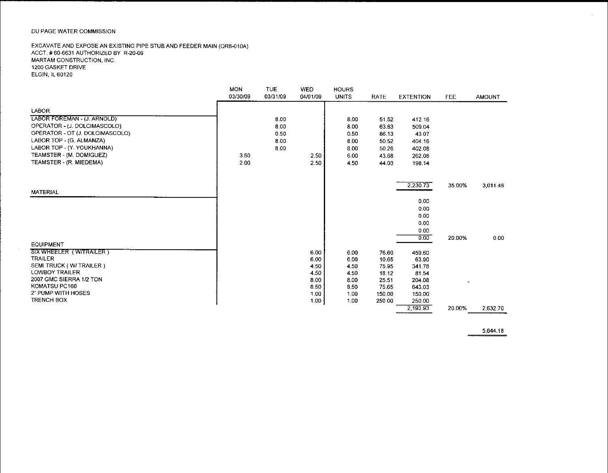#### DU PAGE WATER COMMISSION

 $\sim 10$ 

#### EXCAVATE AND EXPOSE AN EXISTING PIPE STUB AND FEEDER MAIN (QR8-010A) ACCT. #60-6631 AUTHORIZED BY R-20-09 MARTAM CONSTRUCTION, INC. 1200 GASKET DRIVE **ELGIN, IL 60120**

|                                 | <b>MON</b><br>03/30/09 | <b>TUE</b><br>03/31/09 | <b>WED</b><br>04/01/09 | <b>HOURS</b><br><b>UNITS</b> | <b>RATE</b> | <b>EXTENTION</b> | <b>FEE</b> | <b>AMOUNT</b> |
|---------------------------------|------------------------|------------------------|------------------------|------------------------------|-------------|------------------|------------|---------------|
|                                 |                        |                        |                        |                              |             |                  |            |               |
| LABOR                           |                        |                        |                        |                              |             |                  |            |               |
| LABOR FOREMAN - (J. ARNOLD)     |                        | 8.00                   |                        | 8.00                         | 51.52       | 412.16           |            |               |
| OPERATOR - (J. DOLCIMASCOLO)    |                        | 8.00                   |                        | 8.00                         | 63.63       | 509.04           |            |               |
| OPERATOR - OT (J. DOLCIMASCOLO) |                        | 0.50                   |                        | 0.50                         | 86.13       | 43.07            |            |               |
| LABOR TOP - (G. ALMANZA)        |                        | 8.00                   |                        | 8.00                         | 50.52       | 404.16           |            |               |
| LABOR TOP - (Y. YOUKHANNA)      |                        | 8.00                   |                        | 8.00                         | 50.26       | 402.08           |            |               |
| TEAMSTER - (M. DOMIGUEZ)        | 3.50                   |                        | 2.50                   | 6.00                         | 43.68       | 262.08           |            |               |
| TEAMSTER - (R. MIEDEMA)         | 2.00                   |                        | 2.50                   | 4.50                         | 44.03       | 198.14           |            |               |
|                                 |                        |                        |                        |                              |             |                  |            |               |
|                                 |                        |                        |                        |                              |             | 2.230.73         | 35.00%     | 3,011.48      |
| <b>MATERIAL</b>                 |                        |                        |                        |                              |             |                  |            |               |
|                                 |                        |                        |                        |                              |             | 0.00             |            |               |
|                                 |                        |                        |                        |                              |             | 0.00             |            |               |
|                                 |                        |                        |                        |                              |             | 0.00             |            |               |
|                                 |                        |                        |                        |                              |             | 0.00             |            |               |
|                                 |                        |                        |                        |                              |             | 0.00             |            |               |
| <b>EQUIPMENT</b>                |                        |                        |                        |                              |             | 0.00             | 20.00%     | 0.00          |
| <b>SIX WHEELER (W/TRAILER)</b>  |                        |                        | 6.00                   | 6.00                         | 76.60       | 459.60           |            |               |
| <b>TRAILER</b>                  |                        |                        | 6.00                   | 6.00                         | 10.65       | 63.90            |            |               |
| SEMI TRUCK (W/TRAILER)          |                        |                        | 4.50                   | 4.50                         | 75.95       | 341.78           |            |               |
| <b>LOWBOY TRAILER</b>           |                        |                        | 4.50                   | 4.50                         | 18.12       | 81.54            |            |               |
| 2007 GMC SIERRA 1/2 TON         |                        |                        | 8.00                   | 8.00                         | 25.51       | 204.08           |            |               |
| KOMATSU PC160                   |                        |                        | 8.50                   | 8.50                         | 75.65       | 643.03           |            |               |
| 2" PUMP WITH HOSES              |                        |                        | 1.00                   | 1.00                         | 150.00      | 150.00           |            |               |
| <b>TRENCH BOX</b>               |                        |                        | $1.00 -$               | 1.00                         | 250.00      | 250.00           |            |               |
|                                 |                        |                        |                        |                              |             | 2,193.93         | 20.00%     | 2,632.70      |

5,644.18

 $\overline{\phantom{0}}$ 

 $\mathcal{L}$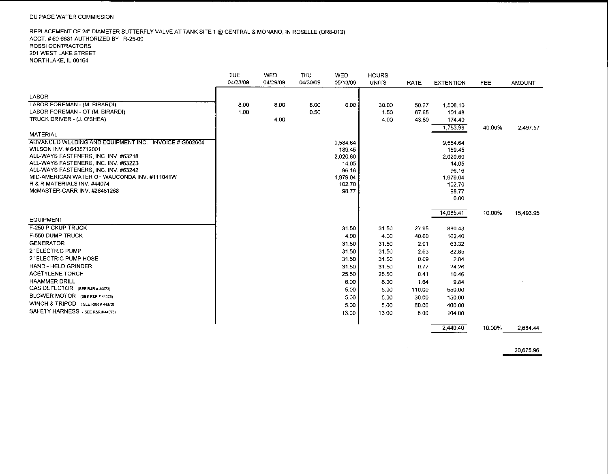#### DU PAGE WATER COMMISSION

#### REPLACEMENT OF 24" DIAMETER BUTTERFLY VALVE AT TANK SITE 1 @ CENTRAL & MONANO, IN ROSELLE (QR8-013) ACCT. #60-6631 AUTHORIZED BY R-25-09 **ROSSI CONTRACTORS** 201 WEST LAKE STREET NORTHLAKE, IL 60164

|                                                             | TUE      | <b>WED</b> | <b>THU</b> | <b>WED</b> | <b>HOURS</b> |        |                  |            |               |
|-------------------------------------------------------------|----------|------------|------------|------------|--------------|--------|------------------|------------|---------------|
|                                                             | 04/28/09 | 04/29/09   | 04/30/09   | 05/13/09   | <b>UNITS</b> | RATE   | <b>EXTENTION</b> | <b>FEE</b> | <b>AMOUNT</b> |
| <b>LABOR</b>                                                |          |            |            |            |              |        |                  |            |               |
| LABOR FOREMAN - (M. BIRARÖI)                                | 8.00     | 8.00       | 8.00       | 6.00       | 30.00        | 50.27  | 1 503.10         |            |               |
| LABOR FOREMAN - OT (M. BIRARDI)                             | 1.00     |            | 0.50       |            | 1.50         | 67.65  | 101.48           |            |               |
| TRUCK DRIVER - (J. O'SHEA)                                  |          | 4.00       |            |            | 4.00         | 43.60  | 174.40           |            |               |
|                                                             |          |            |            |            |              |        | 1,783.98         | 40.00%     | 2.497.57      |
| <b>MATERIAL</b>                                             |          |            |            |            |              |        |                  |            |               |
| ADVANCED WELDING AND EQUIPMENT INC. - INVOICE # G902604     |          |            |            | 9,584.64   |              |        | 9.584.64         |            |               |
| WILSON INV. #6435712001                                     |          |            |            | 189.45     |              |        | 189.45           |            |               |
| ALL-WAYS FASTENERS, INC. INV. #63218                        |          |            |            | 2,020.60   |              |        | 2,020.60         |            |               |
| ALL-WAYS FASTENERS, INC. INV. #63223                        |          |            |            | 14.05      |              |        | 14.05            |            |               |
| ALL-WAYS FASTENERS, INC. INV. #63242                        |          |            |            | 96.16      |              |        | 96.16            |            |               |
| MID-AMERICAN WATER OF WAUCONDA INV. #111041W                |          |            |            | 1,979.04   |              |        | 1.979.04         |            |               |
| R & R MATERIALS INV. #44074<br>McMASTER-CARR INV. #28481268 |          |            |            | 102.70     |              |        | 102.70           |            |               |
|                                                             |          |            |            | 98.77      |              |        | 98.77<br>0.00    |            |               |
|                                                             |          |            |            |            |              |        |                  |            |               |
|                                                             |          |            |            |            |              |        | 14,085.41        | 10.00%     | 15,493.95     |
| <b>EQUIPMENT</b>                                            |          |            |            |            |              |        |                  |            |               |
| <b>F-250 PICKUP TRUCK</b>                                   |          |            |            | 31.50      | 31.50        | 27.95  | 880.43           |            |               |
| F-550 DUMP TRUCK                                            |          |            |            | 4.00       | 4.00         | 40.60  | 162.40           |            |               |
| <b>GENERATOR</b>                                            |          |            |            | 31 50      | 31.50        | 2.01   | 63.32            |            |               |
| 2" ELECTRIC PUMP                                            |          |            |            | 31.50      | 31.50        | 2.63   | 82.85            |            |               |
| 2" ELECTRIC PUMP HOSE                                       |          |            |            | 31.50      | 31.50        | 0.09   | 2.84             |            |               |
| <b>HAND - HELD GRINDER</b>                                  |          |            |            | 31.50      | 31.50        | 0.77   | 24.26            |            |               |
| <b>ACETYLENE TORCH</b>                                      |          |            |            | 25.50      | 25.50        | 0.41   | 10.46            |            |               |
| <b>HAAMMER DRILL</b>                                        |          |            |            | 6.00       | 6.00         | 1.64   | 9.84             |            |               |
| GAS DETECTOR (SEE R&R # 44073)                              |          |            |            | 5.00       | 5.00         | 110.00 | 550.00           |            |               |
| BLOWER MOTOR (SEE R&R # 44073)                              |          |            |            | 5.00       | 5.00         | 30.00  | 150.00           |            |               |
| WINCH & TRIPOD (SEE R&R # 44073)                            |          |            |            | 5.00       | 5.00         | 80.00  | 400.00           |            |               |
| SAFETY HARNESS (SEE R&R # 44073)                            |          |            |            | 13.00      | 13.00        | 8.00   | 104.00           |            |               |
|                                                             |          |            |            |            |              |        | 2.440.40         | 10.00%     | 2.684.44      |

10.00%

20,675.96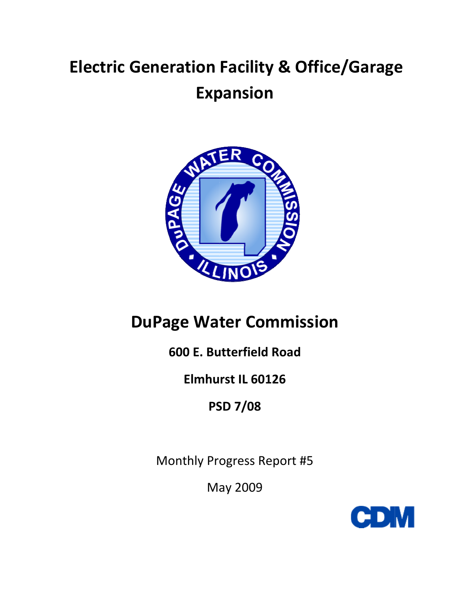# **Electric Generation Facility & Office/Garage Expansion**



# **DuPage Water Commission**

## 600 E. Butterfield Road

## Elmhurst IL 60126

**PSD 7/08** 

Monthly Progress Report #5

**May 2009** 

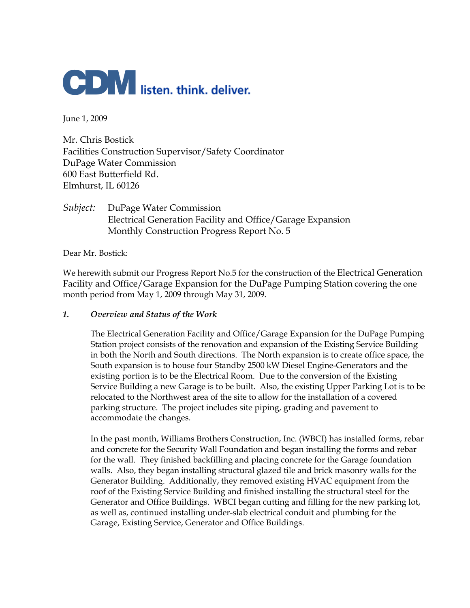

June 1, 2009

Mr. Chris Bostick Facilities Construction Supervisor/Safety Coordinator DuPage Water Commission 600 East Butterfield Rd. Elmhurst, IL 60126

*Subject:* DuPage Water Commission Electrical Generation Facility and Office/Garage Expansion Monthly Construction Progress Report No. 5

Dear Mr. Bostick:

We herewith submit our Progress Report No.5 for the construction of the Electrical Generation Facility and Office/Garage Expansion for the DuPage Pumping Station covering the one month period from May 1, 2009 through May 31, 2009.

#### *1. Overview and Status of the Work*

The Electrical Generation Facility and Office/Garage Expansion for the DuPage Pumping Station project consists of the renovation and expansion of the Existing Service Building in both the North and South directions. The North expansion is to create office space, the South expansion is to house four Standby 2500 kW Diesel Engine-Generators and the existing portion is to be the Electrical Room. Due to the conversion of the Existing Service Building a new Garage is to be built. Also, the existing Upper Parking Lot is to be relocated to the Northwest area of the site to allow for the installation of a covered parking structure. The project includes site piping, grading and pavement to accommodate the changes.

In the past month, Williams Brothers Construction, Inc. (WBCI) has installed forms, rebar and concrete for the Security Wall Foundation and began installing the forms and rebar for the wall. They finished backfilling and placing concrete for the Garage foundation walls. Also, they began installing structural glazed tile and brick masonry walls for the Generator Building. Additionally, they removed existing HVAC equipment from the roof of the Existing Service Building and finished installing the structural steel for the Generator and Office Buildings. WBCI began cutting and filling for the new parking lot, as well as, continued installing under-slab electrical conduit and plumbing for the Garage, Existing Service, Generator and Office Buildings.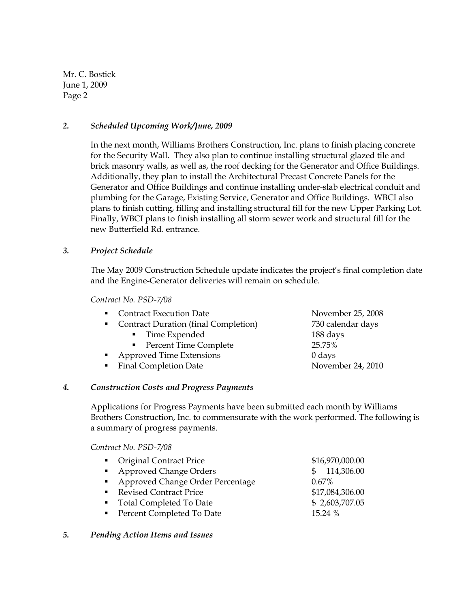#### *2. Scheduled Upcoming Work/June, 2009*

In the next month, Williams Brothers Construction, Inc. plans to finish placing concrete for the Security Wall. They also plan to continue installing structural glazed tile and brick masonry walls, as well as, the roof decking for the Generator and Office Buildings. Additionally, they plan to install the Architectural Precast Concrete Panels for the Generator and Office Buildings and continue installing under-slab electrical conduit and plumbing for the Garage, Existing Service, Generator and Office Buildings. WBCI also plans to finish cutting, filling and installing structural fill for the new Upper Parking Lot. Finally, WBCI plans to finish installing all storm sewer work and structural fill for the new Butterfield Rd. entrance.

#### *3. Project Schedule*

The May 2009 Construction Schedule update indicates the project's final completion date and the Engine-Generator deliveries will remain on schedule.

*Contract No. PSD-7/08* 

- Contract Execution Date November 25, 2008
- Contract Duration (final Completion) 730 calendar days
	- Time Expended 188 days
	- Percent Time Complete 25.75%
- Approved Time Extensions 0 days
- Final Completion Date November 24, 2010

#### *4. Construction Costs and Progress Payments*

Applications for Progress Payments have been submitted each month by Williams Brothers Construction, Inc. to commensurate with the work performed. The following is a summary of progress payments.

*Contract No. PSD-7/08* 

| • Original Contract Price          | \$16,970,000.00 |
|------------------------------------|-----------------|
| • Approved Change Orders           | \$114,306.00    |
| • Approved Change Order Percentage | $0.67\%$        |
| Revised Contract Price             | \$17,084,306.00 |
| • Total Completed To Date          | \$2,603,707.05  |
| • Percent Completed To Date        | 15.24 %         |
|                                    |                 |

#### *5. Pending Action Items and Issues*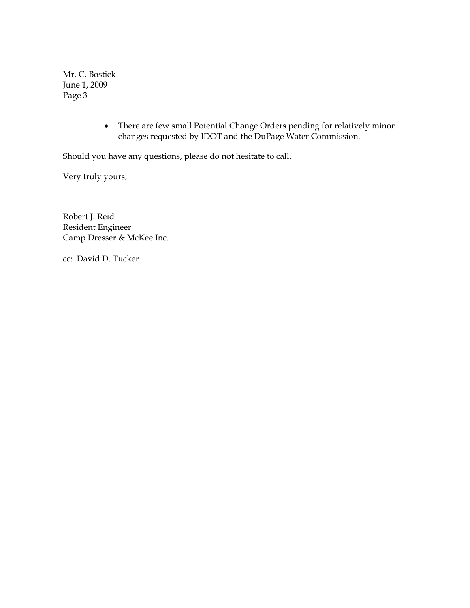> • There are few small Potential Change Orders pending for relatively minor changes requested by IDOT and the DuPage Water Commission.

Should you have any questions, please do not hesitate to call.

Very truly yours,

Robert J. Reid Resident Engineer Camp Dresser & McKee Inc.

cc: David D. Tucker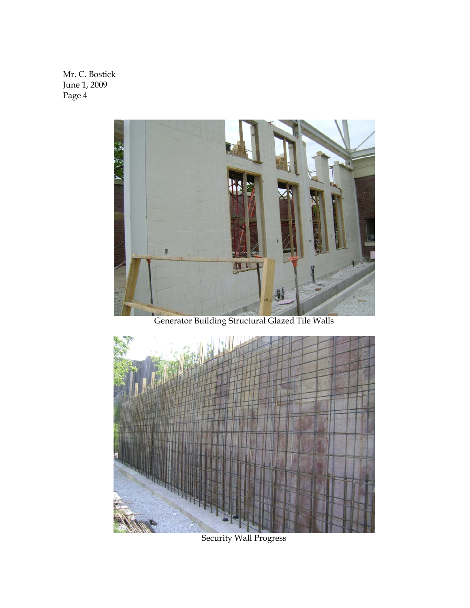

Generator Building Structural Glazed Tile Walls



Security Wall Progress